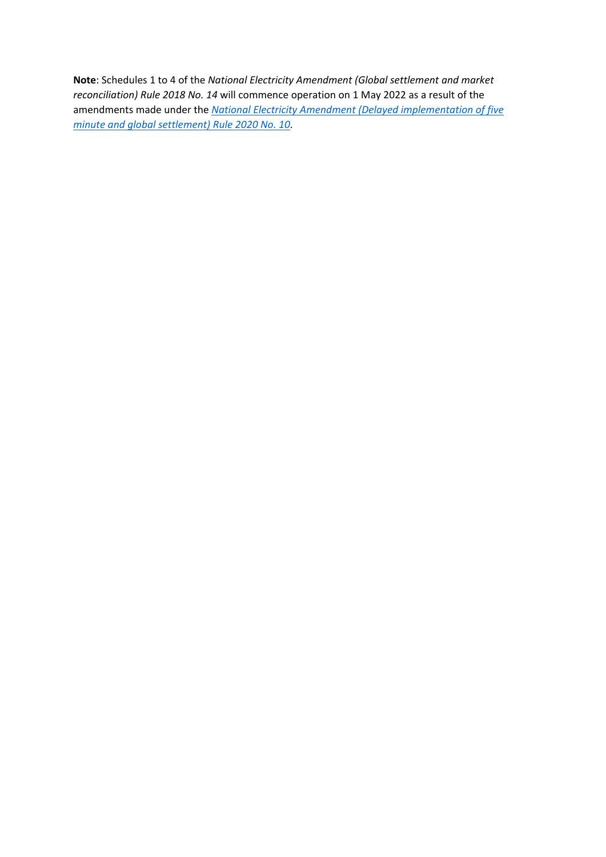**Note**: Schedules 1 to 4 of the *National Electricity Amendment (Global settlement and market reconciliation) Rule 2018 No. 14* will commence operation on 1 May 2022 as a result of the amendments made under the *[National Electricity Amendment \(Delayed implementation of five](https://www.aemc.gov.au/sites/default/files/documents/final_rule_1.pdf)  [minute and global settlement\) Rule 2020 No. 10](https://www.aemc.gov.au/sites/default/files/documents/final_rule_1.pdf)*.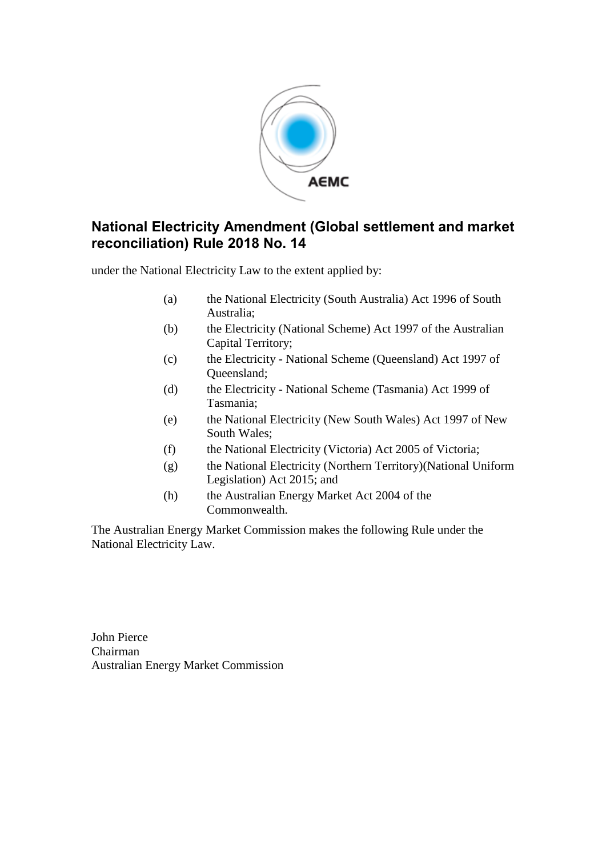

### **National Electricity Amendment (Global settlement and market reconciliation) Rule 2018 No. 14**

under the National Electricity Law to the extent applied by:

- (a) the National Electricity (South Australia) Act 1996 of South Australia;
- (b) the Electricity (National Scheme) Act 1997 of the Australian Capital Territory;
- (c) the Electricity National Scheme (Queensland) Act 1997 of Queensland;
- (d) the Electricity National Scheme (Tasmania) Act 1999 of Tasmania;
- (e) the National Electricity (New South Wales) Act 1997 of New South Wales;
- (f) the National Electricity (Victoria) Act 2005 of Victoria;
- (g) the National Electricity (Northern Territory)(National Uniform Legislation) Act 2015; and
- (h) the Australian Energy Market Act 2004 of the Commonwealth.

The Australian Energy Market Commission makes the following Rule under the National Electricity Law.

John Pierce Chairman Australian Energy Market Commission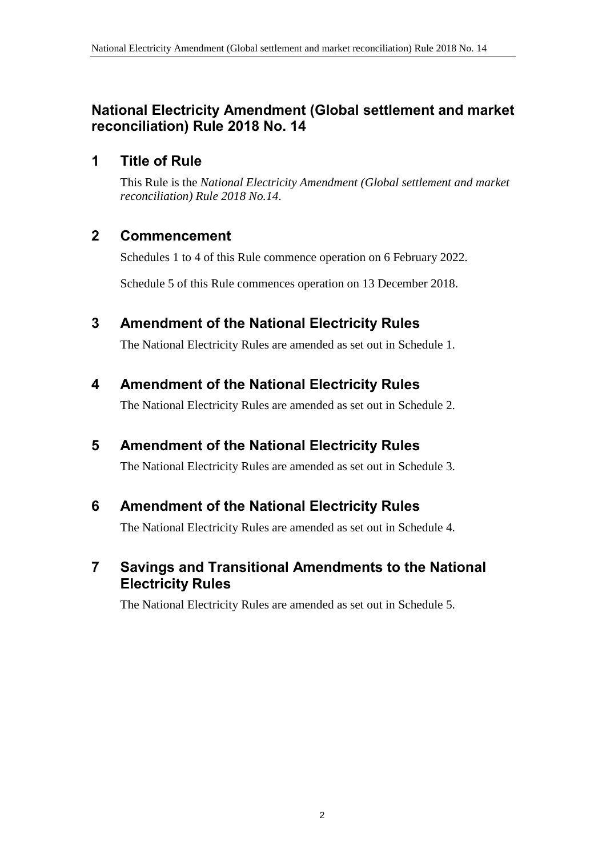## **National Electricity Amendment (Global settlement and market reconciliation) Rule 2018 No. 14**

### **1 Title of Rule**

This Rule is the *National Electricity Amendment (Global settlement and market reconciliation) Rule 2018 No.14*.

### **2 Commencement**

Schedules 1 to 4 of this Rule commence operation on 6 February 2022.

Schedule 5 of this Rule commences operation on 13 December 2018.

### <span id="page-2-0"></span>**3 Amendment of the National Electricity Rules**

The National Electricity Rules are amended as set out in [Schedule 1.](#page-3-0)

## <span id="page-2-1"></span>**4 Amendment of the National Electricity Rules**

The National Electricity Rules are amended as set out in [Schedule 2.](#page-9-0)

## <span id="page-2-2"></span>**5 Amendment of the National Electricity Rules**

The National Electricity Rules are amended as set out in [Schedule 3.](#page-10-0)

### <span id="page-2-3"></span>**6 Amendment of the National Electricity Rules**

The National Electricity Rules are amended as set out in [Schedule 4.](#page-14-0)

### <span id="page-2-4"></span>**7 Savings and Transitional Amendments to the National Electricity Rules**

The National Electricity Rules are amended as set out in [Schedule 5.](#page-15-0)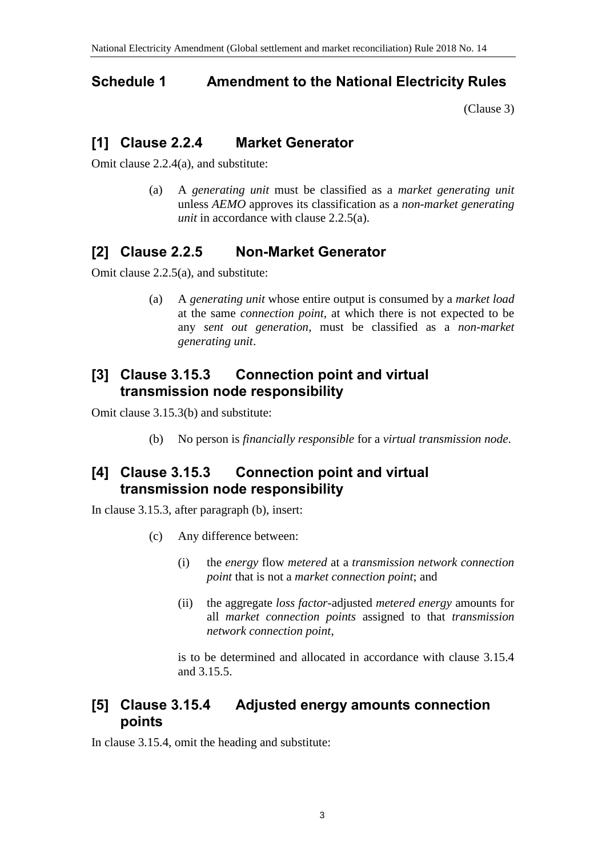## <span id="page-3-0"></span>**Schedule 1 Amendment to the National Electricity Rules**

[\(Clause 3\)](#page-2-0)

# **[1] Clause 2.2.4 Market Generator**

Omit clause 2.2.4(a), and substitute:

(a) A *generating unit* must be classified as a *market generating unit* unless *AEMO* approves its classification as a *non-market generating unit* in accordance with clause 2.2.5(a).

## **[2] Clause 2.2.5 Non-Market Generator**

Omit clause 2.2.5(a), and substitute:

(a) A *generating unit* whose entire output is consumed by a *market load* at the same *connection point*, at which there is not expected to be any *sent out generation*, must be classified as a *non-market generating unit*.

### **[3] Clause 3.15.3 Connection point and virtual transmission node responsibility**

Omit clause 3.15.3(b) and substitute:

(b) No person is *financially responsible* for a *virtual transmission node*.

## **[4] Clause 3.15.3 Connection point and virtual transmission node responsibility**

In clause 3.15.3, after paragraph (b), insert:

- (c) Any difference between:
	- (i) the *energy* flow *metered* at a *transmission network connection point* that is not a *market connection point*; and
	- (ii) the aggregate *loss factor*-adjusted *metered energy* amounts for all *market connection points* assigned to that *transmission network connection point*,

is to be determined and allocated in accordance with clause 3.15.4 and 3.15.5.

## **[5] Clause 3.15.4 Adjusted energy amounts connection points**

In clause 3.15.4, omit the heading and substitute: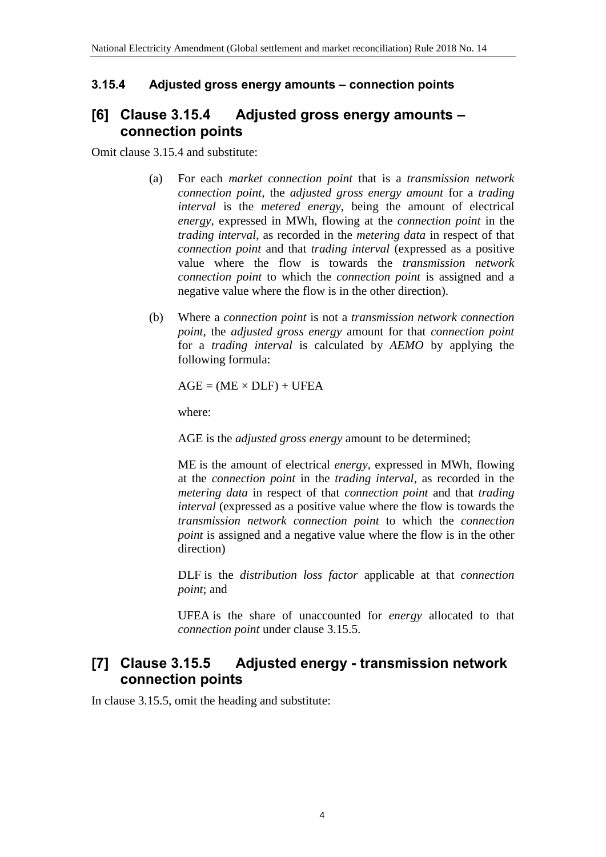### **3.15.4 Adjusted gross energy amounts – connection points**

### **[6] Clause 3.15.4 Adjusted gross energy amounts – connection points**

Omit clause 3.15.4 and substitute:

- (a) For each *market connection point* that is a *transmission network connection point*, the *adjusted gross energy amount* for a *trading interval* is the *metered energy*, being the amount of electrical *energy*, expressed in MWh, flowing at the *connection point* in the *trading interval*, as recorded in the *metering data* in respect of that *connection point* and that *trading interval* (expressed as a positive value where the flow is towards the *transmission network connection point* to which the *connection point* is assigned and a negative value where the flow is in the other direction).
- (b) Where a *connection point* is not a *transmission network connection point*, the *adjusted gross energy* amount for that *connection point* for a *trading interval* is calculated by *AEMO* by applying the following formula:

 $AGE = (ME \times DLF) + UFEA$ 

where:

AGE is the *adjusted gross energy* amount to be determined;

ME is the amount of electrical *energy*, expressed in MWh, flowing at the *connection point* in the *trading interval*, as recorded in the *metering data* in respect of that *connection point* and that *trading interval* (expressed as a positive value where the flow is towards the *transmission network connection point* to which the *connection point* is assigned and a negative value where the flow is in the other direction)

DLF is the *distribution loss factor* applicable at that *connection point*; and

UFEA is the share of unaccounted for *energy* allocated to that *connection point* under clause 3.15.5.

## **[7] Clause 3.15.5 Adjusted energy - transmission network connection points**

In clause 3.15.5, omit the heading and substitute: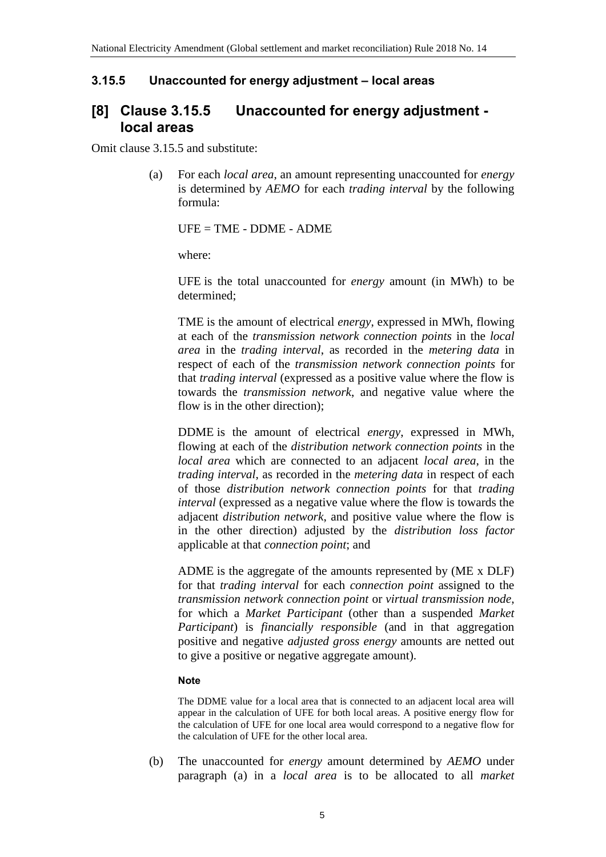#### **3.15.5 Unaccounted for energy adjustment – local areas**

### **[8] Clause 3.15.5 Unaccounted for energy adjustment local areas**

Omit clause 3.15.5 and substitute:

(a) For each *local area*, an amount representing unaccounted for *energy* is determined by *AEMO* for each *trading interval* by the following formula:

UFE = TME - DDME - ADME

where:

UFE is the total unaccounted for *energy* amount (in MWh) to be determined;

TME is the amount of electrical *energy*, expressed in MWh, flowing at each of the *transmission network connection points* in the *local area* in the *trading interval*, as recorded in the *metering data* in respect of each of the *transmission network connection points* for that *trading interval* (expressed as a positive value where the flow is towards the *transmission network*, and negative value where the flow is in the other direction);

DDME is the amount of electrical *energy*, expressed in MWh, flowing at each of the *distribution network connection points* in the *local area* which are connected to an adjacent *local area*, in the *trading interval*, as recorded in the *metering data* in respect of each of those *distribution network connection points* for that *trading interval* (expressed as a negative value where the flow is towards the adjacent *distribution network*, and positive value where the flow is in the other direction) adjusted by the *distribution loss factor* applicable at that *connection point*; and

ADME is the aggregate of the amounts represented by (ME x DLF) for that *trading interval* for each *connection point* assigned to the *transmission network connection point* or *virtual transmission node*, for which a *Market Participant* (other than a suspended *Market Participant*) is *financially responsible* (and in that aggregation positive and negative *adjusted gross energy* amounts are netted out to give a positive or negative aggregate amount).

#### **Note**

The DDME value for a local area that is connected to an adjacent local area will appear in the calculation of UFE for both local areas. A positive energy flow for the calculation of UFE for one local area would correspond to a negative flow for the calculation of UFE for the other local area.

(b) The unaccounted for *energy* amount determined by *AEMO* under paragraph (a) in a *local area* is to be allocated to all *market*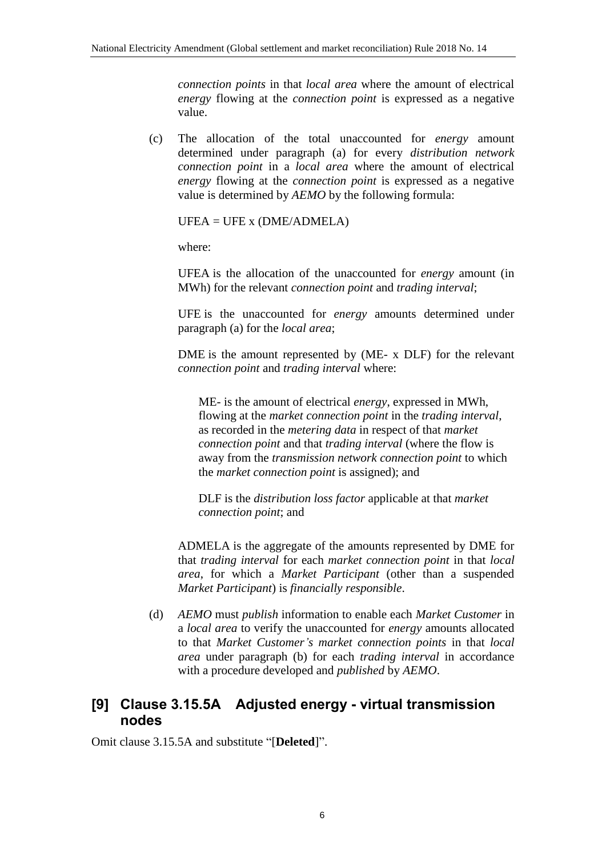*connection points* in that *local area* where the amount of electrical *energy* flowing at the *connection point* is expressed as a negative value.

(c) The allocation of the total unaccounted for *energy* amount determined under paragraph (a) for every *distribution network connection point* in a *local area* where the amount of electrical *energy* flowing at the *connection point* is expressed as a negative value is determined by *AEMO* by the following formula:

 $UFEA = UFE$  x (DME/ADMELA)

where:

UFEA is the allocation of the unaccounted for *energy* amount (in MWh) for the relevant *connection point* and *trading interval*;

UFE is the unaccounted for *energy* amounts determined under paragraph (a) for the *local area*;

DME is the amount represented by (ME- x DLF) for the relevant *connection point* and *trading interval* where:

ME- is the amount of electrical *energy*, expressed in MWh, flowing at the *market connection point* in the *trading interval*, as recorded in the *metering data* in respect of that *market connection point* and that *trading interval* (where the flow is away from the *transmission network connection point* to which the *market connection point* is assigned); and

DLF is the *distribution loss factor* applicable at that *market connection point*; and

ADMELA is the aggregate of the amounts represented by DME for that *trading interval* for each *market connection point* in that *local area*, for which a *Market Participant* (other than a suspended *Market Participant*) is *financially responsible*.

(d) *AEMO* must *publish* information to enable each *Market Customer* in a *local area* to verify the unaccounted for *energy* amounts allocated to that *Market Customer's market connection points* in that *local area* under paragraph (b) for each *trading interval* in accordance with a procedure developed and *published* by *AEMO*.

## **[9] Clause 3.15.5A Adjusted energy - virtual transmission nodes**

Omit clause 3.15.5A and substitute "[**Deleted**]".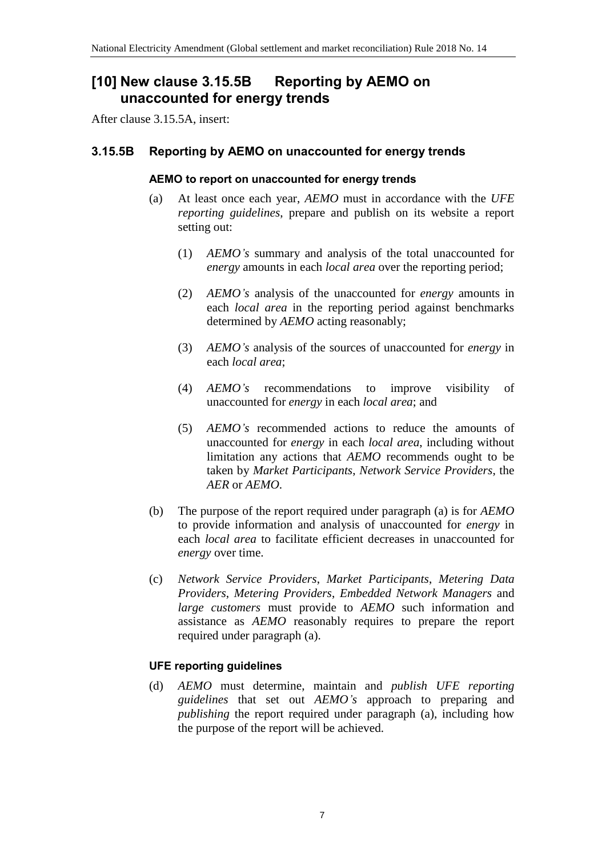## **[10] New clause 3.15.5B Reporting by AEMO on unaccounted for energy trends**

After clause 3.15.5A, insert:

### **3.15.5B Reporting by AEMO on unaccounted for energy trends**

#### **AEMO to report on unaccounted for energy trends**

- (a) At least once each year, *AEMO* must in accordance with the *UFE reporting guidelines*, prepare and publish on its website a report setting out:
	- (1) *AEMO's* summary and analysis of the total unaccounted for *energy* amounts in each *local area* over the reporting period;
	- (2) *AEMO's* analysis of the unaccounted for *energy* amounts in each *local area* in the reporting period against benchmarks determined by *AEMO* acting reasonably;
	- (3) *AEMO's* analysis of the sources of unaccounted for *energy* in each *local area*;
	- (4) *AEMO's* recommendations to improve visibility of unaccounted for *energy* in each *local area*; and
	- (5) *AEMO's* recommended actions to reduce the amounts of unaccounted for *energy* in each *local area*, including without limitation any actions that *AEMO* recommends ought to be taken by *Market Participants*, *Network Service Providers*, the *AER* or *AEMO*.
- (b) The purpose of the report required under paragraph (a) is for *AEMO* to provide information and analysis of unaccounted for *energy* in each *local area* to facilitate efficient decreases in unaccounted for *energy* over time.
- (c) *Network Service Providers*, *Market Participants*, *Metering Data Providers*, *Metering Providers*, *Embedded Network Managers* and *large customers* must provide to *AEMO* such information and assistance as *AEMO* reasonably requires to prepare the report required under paragraph (a).

### **UFE reporting guidelines**

(d) *AEMO* must determine, maintain and *publish UFE reporting guidelines* that set out *AEMO's* approach to preparing and *publishing* the report required under paragraph (a), including how the purpose of the report will be achieved.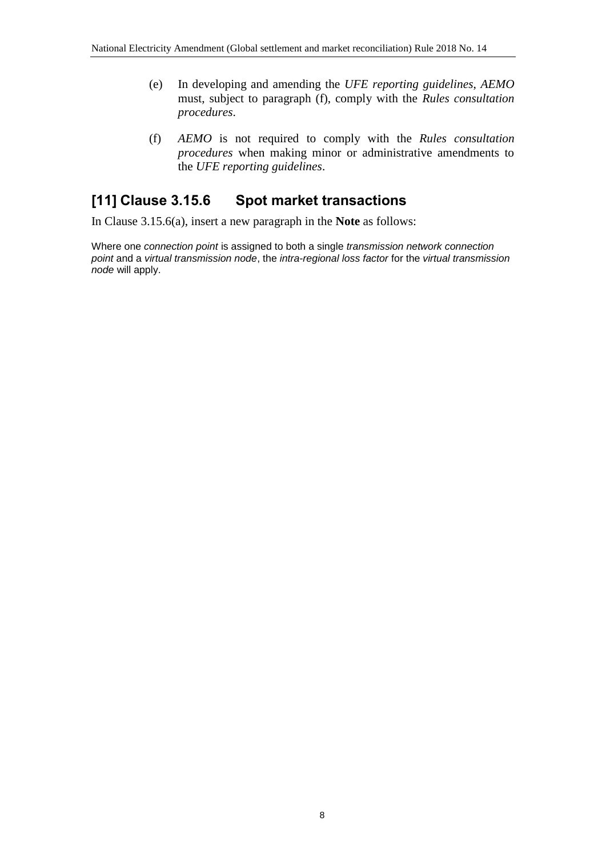- (e) In developing and amending the *UFE reporting guidelines*, *AEMO* must, subject to paragraph (f), comply with the *Rules consultation procedures*.
- (f) *AEMO* is not required to comply with the *Rules consultation procedures* when making minor or administrative amendments to the *UFE reporting guidelines*.

## **[11] Clause 3.15.6 Spot market transactions**

In Clause 3.15.6(a), insert a new paragraph in the **Note** as follows:

Where one *connection point* is assigned to both a single *transmission network connection point* and a *virtual transmission node*, the *intra-regional loss factor* for the *virtual transmission node* will apply.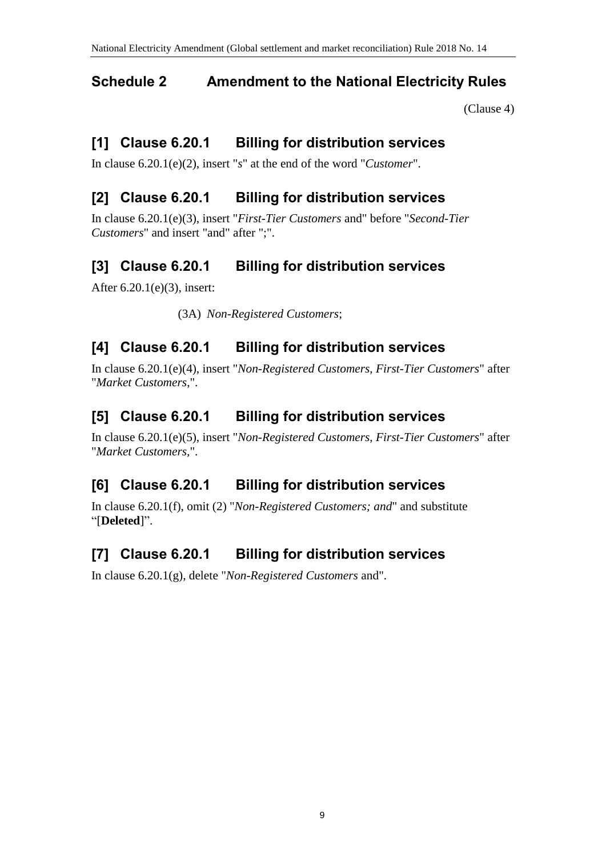# <span id="page-9-0"></span>**Schedule 2 Amendment to the National Electricity Rules**

[\(Clause 4\)](#page-2-1)

# **[1] Clause 6.20.1 Billing for distribution services**

In clause 6.20.1(e)(2), insert "*s*" at the end of the word "*Customer*".

# **[2] Clause 6.20.1 Billing for distribution services**

In clause 6.20.1(e)(3), insert "*First-Tier Customers* and" before "*Second-Tier Customers*" and insert "and" after ";".

# **[3] Clause 6.20.1 Billing for distribution services**

After 6.20.1(e)(3), insert:

(3A) *Non-Registered Customers*;

# **[4] Clause 6.20.1 Billing for distribution services**

In clause 6.20.1(e)(4), insert "*Non-Registered Customers, First-Tier Customers*" after "*Market Customers*,".

## **[5] Clause 6.20.1 Billing for distribution services**

In clause 6.20.1(e)(5), insert "*Non-Registered Customers, First-Tier Customers*" after "*Market Customers,*".

# **[6] Clause 6.20.1 Billing for distribution services**

In clause 6.20.1(f), omit (2) "*Non-Registered Customers; and*" and substitute "[**Deleted**]".

# **[7] Clause 6.20.1 Billing for distribution services**

In clause 6.20.1(g), delete "*Non-Registered Customers* and".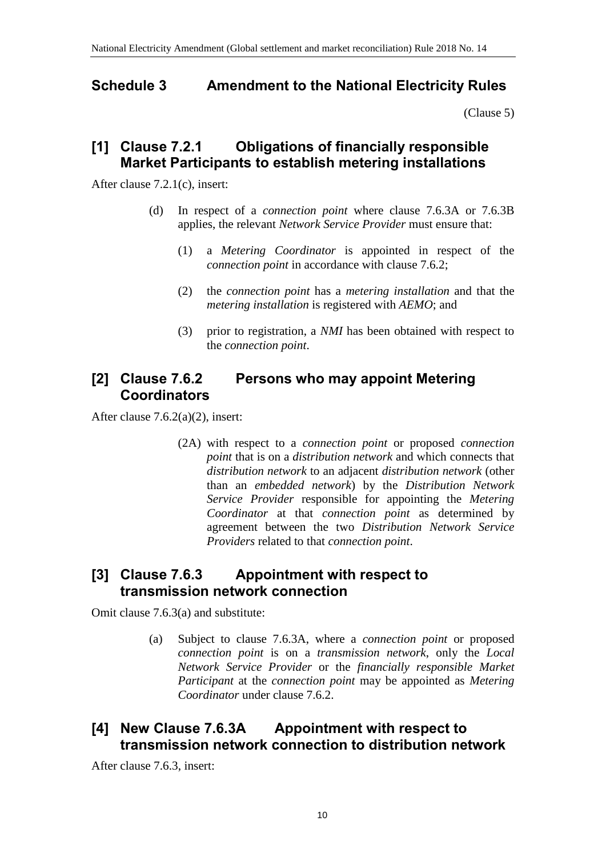### <span id="page-10-0"></span>**Schedule 3 Amendment to the National Electricity Rules**

[\(Clause 5\)](#page-2-2)

### **[1] Clause 7.2.1 Obligations of financially responsible Market Participants to establish metering installations**

After clause 7.2.1(c), insert:

- (d) In respect of a *connection point* where clause 7.6.3A or 7.6.3B applies, the relevant *Network Service Provider* must ensure that:
	- (1) a *Metering Coordinator* is appointed in respect of the *connection point* in accordance with clause 7.6.2;
	- (2) the *connection point* has a *metering installation* and that the *metering installation* is registered with *AEMO*; and
	- (3) prior to registration, a *NMI* has been obtained with respect to the *connection point*.

## **[2] Clause 7.6.2 Persons who may appoint Metering Coordinators**

After clause 7.6.2(a)(2), insert:

(2A) with respect to a *connection point* or proposed *connection point* that is on a *distribution network* and which connects that *distribution network* to an adjacent *distribution network* (other than an *embedded network*) by the *Distribution Network Service Provider* responsible for appointing the *Metering Coordinator* at that *connection point* as determined by agreement between the two *Distribution Network Service Providers* related to that *connection point*.

### **[3] Clause 7.6.3 Appointment with respect to transmission network connection**

Omit clause 7.6.3(a) and substitute:

(a) Subject to clause 7.6.3A, where a *connection point* or proposed *connection point* is on a *transmission network*, only the *Local Network Service Provider* or the *financially responsible Market Participant* at the *connection point* may be appointed as *Metering Coordinator* under clause 7.6.2.

### **[4] New Clause 7.6.3A Appointment with respect to transmission network connection to distribution network**

After clause 7.6.3, insert: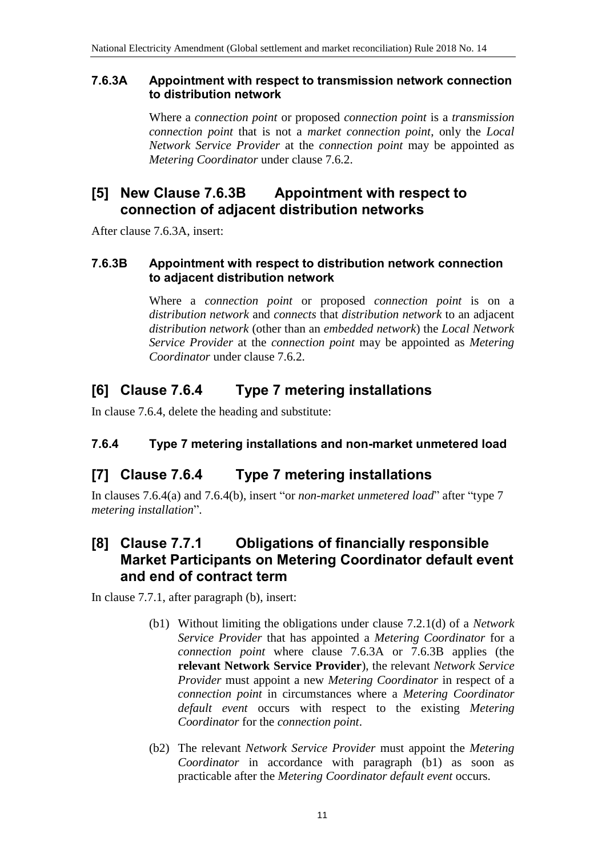### **7.6.3A Appointment with respect to transmission network connection to distribution network**

Where a *connection point* or proposed *connection point* is a *transmission connection point* that is not a *market connection point*, only the *Local Network Service Provider* at the *connection point* may be appointed as *Metering Coordinator* under clause 7.6.2.

### **[5] New Clause 7.6.3B Appointment with respect to connection of adjacent distribution networks**

After clause 7.6.3A, insert:

### **7.6.3B Appointment with respect to distribution network connection to adjacent distribution network**

Where a *connection point* or proposed *connection point* is on a *distribution network* and *connects* that *distribution network* to an adjacent *distribution network* (other than an *embedded network*) the *Local Network Service Provider* at the *connection point* may be appointed as *Metering Coordinator* under clause 7.6.2.

## **[6] Clause 7.6.4 Type 7 metering installations**

In clause 7.6.4, delete the heading and substitute:

### **7.6.4 Type 7 metering installations and non-market unmetered load**

## **[7] Clause 7.6.4 Type 7 metering installations**

In clauses 7.6.4(a) and 7.6.4(b), insert "or *non-market unmetered load*" after "type 7 *metering installation*".

### **[8] Clause 7.7.1 Obligations of financially responsible Market Participants on Metering Coordinator default event and end of contract term**

In clause 7.7.1, after paragraph (b), insert:

- (b1) Without limiting the obligations under clause 7.2.1(d) of a *Network Service Provider* that has appointed a *Metering Coordinator* for a *connection point* where clause 7.6.3A or 7.6.3B applies (the **relevant Network Service Provider**), the relevant *Network Service Provider* must appoint a new *Metering Coordinator* in respect of a *connection point* in circumstances where a *Metering Coordinator default event* occurs with respect to the existing *Metering Coordinator* for the *connection point*.
- (b2) The relevant *Network Service Provider* must appoint the *Metering Coordinator* in accordance with paragraph (b1) as soon as practicable after the *Metering Coordinator default event* occurs.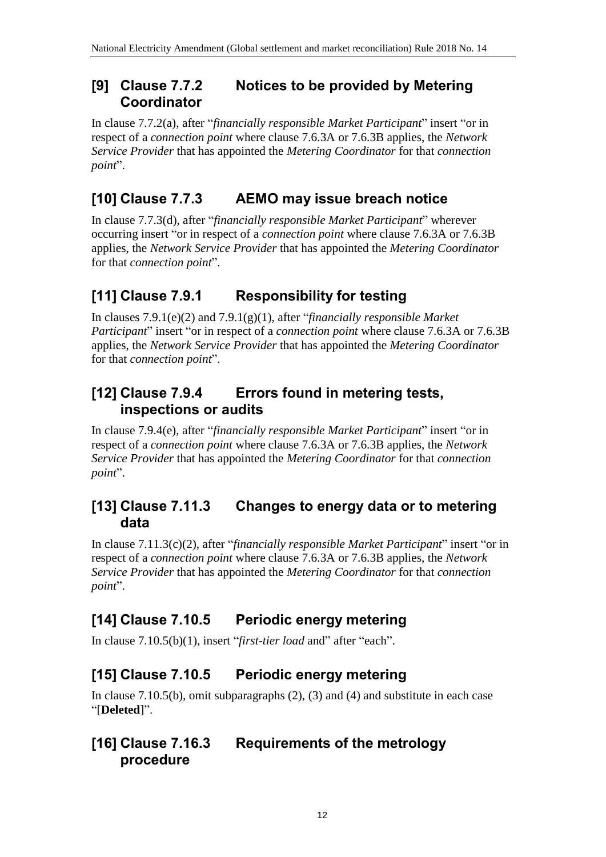### **[9] Clause 7.7.2 Notices to be provided by Metering Coordinator**

In clause 7.7.2(a), after "*financially responsible Market Participant*" insert "or in respect of a *connection point* where clause 7.6.3A or 7.6.3B applies, the *Network Service Provider* that has appointed the *Metering Coordinator* for that *connection point*".

# **[10] Clause 7.7.3 AEMO may issue breach notice**

In clause 7.7.3(d), after "*financially responsible Market Participant*" wherever occurring insert "or in respect of a *connection point* where clause 7.6.3A or 7.6.3B applies, the *Network Service Provider* that has appointed the *Metering Coordinator* for that *connection point*".

# **[11] Clause 7.9.1 Responsibility for testing**

In clauses 7.9.1(e)(2) and 7.9.1(g)(1), after "*financially responsible Market Participant*" insert "or in respect of a *connection point* where clause 7.6.3A or 7.6.3B applies, the *Network Service Provider* that has appointed the *Metering Coordinator* for that *connection point*".

# **[12] Clause 7.9.4 Errors found in metering tests, inspections or audits**

In clause 7.9.4(e), after "*financially responsible Market Participant*" insert "or in respect of a *connection point* where clause 7.6.3A or 7.6.3B applies, the *Network Service Provider* that has appointed the *Metering Coordinator* for that *connection point*".

## **[13] Clause 7.11.3 Changes to energy data or to metering data**

In clause 7.11.3(c)(2), after "*financially responsible Market Participant*" insert "or in respect of a *connection point* where clause 7.6.3A or 7.6.3B applies, the *Network Service Provider* that has appointed the *Metering Coordinator* for that *connection point*".

# **[14] Clause 7.10.5 Periodic energy metering**

In clause 7.10.5(b)(1), insert "*first-tier load* and" after "each".

# **[15] Clause 7.10.5 Periodic energy metering**

In clause 7.10.5(b), omit subparagraphs (2), (3) and (4) and substitute in each case "[**Deleted**]".

## **[16] Clause 7.16.3 Requirements of the metrology procedure**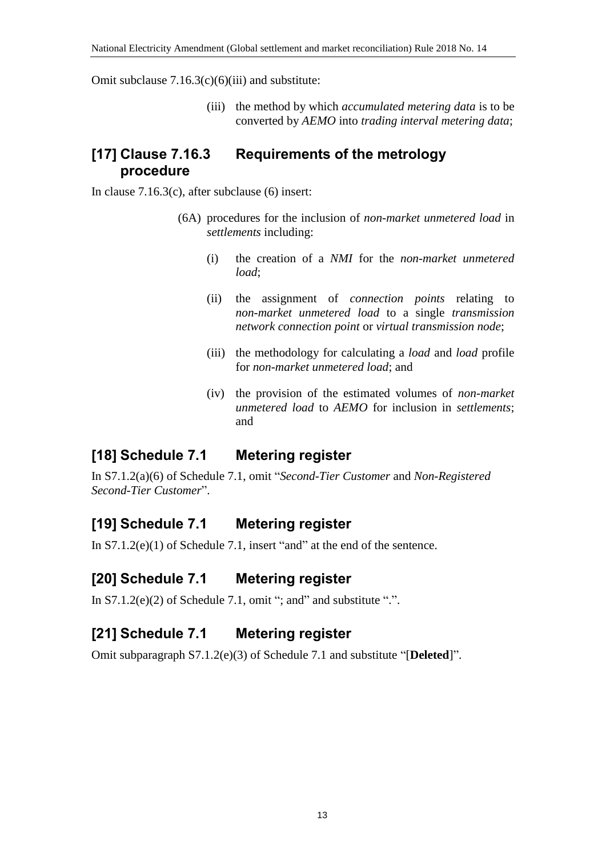Omit subclause  $7.16.3(c)(6)(iii)$  and substitute:

(iii) the method by which *accumulated metering data* is to be converted by *AEMO* into *trading interval metering data*;

### **[17] Clause 7.16.3 Requirements of the metrology procedure**

In clause 7.16.3(c), after subclause (6) insert:

- (6A) procedures for the inclusion of *non-market unmetered load* in *settlements* including:
	- (i) the creation of a *NMI* for the *non-market unmetered load*;
	- (ii) the assignment of *connection points* relating to *non-market unmetered load* to a single *transmission network connection point* or *virtual transmission node*;
	- (iii) the methodology for calculating a *load* and *load* profile for *non-market unmetered load*; and
	- (iv) the provision of the estimated volumes of *non-market unmetered load* to *AEMO* for inclusion in *settlements*; and

## **[18] Schedule 7.1 Metering register**

In S7.1.2(a)(6) of Schedule 7.1, omit "*Second-Tier Customer* and *Non-Registered Second-Tier Customer*".

## **[19] Schedule 7.1 Metering register**

In S7.1.2(e)(1) of Schedule 7.1, insert "and" at the end of the sentence.

### **[20] Schedule 7.1 Metering register**

In  $S7.1.2(e)(2)$  of Schedule 7.1, omit "; and" and substitute ".".

## **[21] Schedule 7.1 Metering register**

Omit subparagraph S7.1.2(e)(3) of Schedule 7.1 and substitute "[**Deleted**]".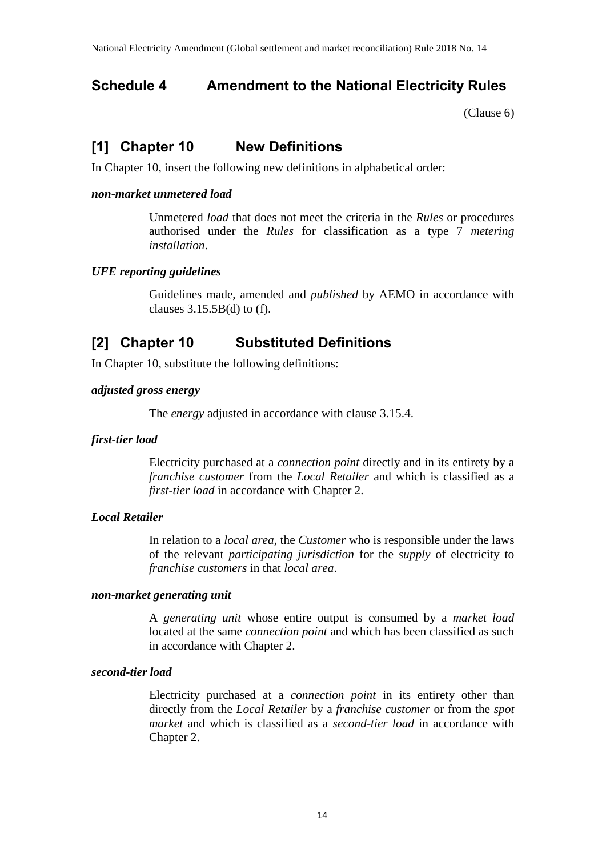## <span id="page-14-0"></span>**Schedule 4 Amendment to the National Electricity Rules**

[\(Clause 6\)](#page-2-3)

## **[1] Chapter 10 New Definitions**

In Chapter 10, insert the following new definitions in alphabetical order:

#### *non-market unmetered load*

Unmetered *load* that does not meet the criteria in the *Rules* or procedures authorised under the *Rules* for classification as a type 7 *metering installation*.

### *UFE reporting guidelines*

Guidelines made, amended and *published* by AEMO in accordance with clauses  $3.15.5B(d)$  to (f).

## **[2] Chapter 10 Substituted Definitions**

In Chapter 10, substitute the following definitions:

#### *adjusted gross energy*

The *energy* adjusted in accordance with clause 3.15.4.

### *first-tier load*

Electricity purchased at a *connection point* directly and in its entirety by a *franchise customer* from the *Local Retailer* and which is classified as a *first-tier load* in accordance with Chapter 2.

### *Local Retailer*

In relation to a *local area*, the *Customer* who is responsible under the laws of the relevant *participating jurisdiction* for the *supply* of electricity to *franchise customers* in that *local area*.

#### *non-market generating unit*

A *generating unit* whose entire output is consumed by a *market load* located at the same *connection point* and which has been classified as such in accordance with Chapter 2.

#### *second-tier load*

Electricity purchased at a *connection point* in its entirety other than directly from the *Local Retailer* by a *franchise customer* or from the *spot market* and which is classified as a *second-tier load* in accordance with Chapter 2.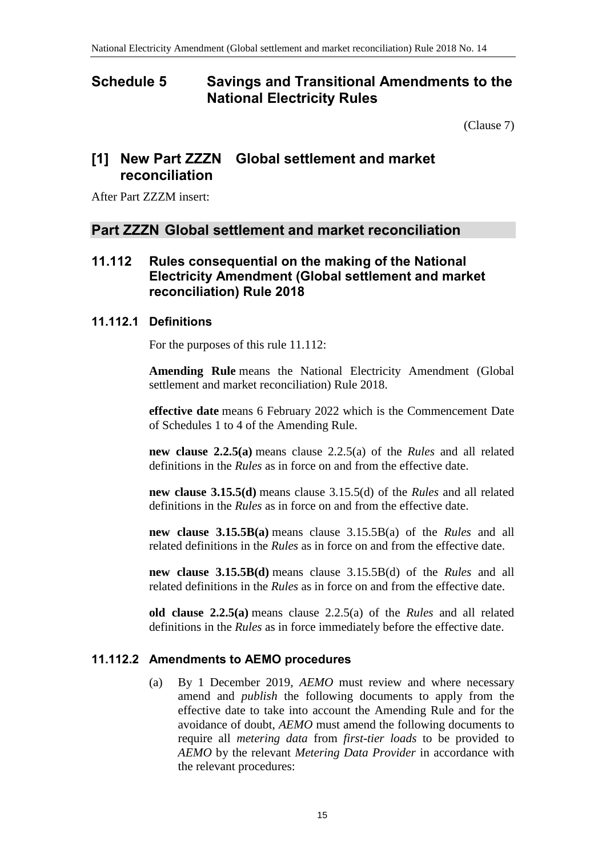### <span id="page-15-0"></span>**Schedule 5 Savings and Transitional Amendments to the National Electricity Rules**

[\(Clause 7\)](#page-2-4)

### **[1] New Part ZZZN Global settlement and market reconciliation**

After Part ZZZM insert:

### **Part ZZZN Global settlement and market reconciliation**

### **11.112 Rules consequential on the making of the National Electricity Amendment (Global settlement and market reconciliation) Rule 2018**

### **11.112.1 Definitions**

For the purposes of this rule 11.112:

**Amending Rule** means the National Electricity Amendment (Global settlement and market reconciliation) Rule 2018.

**effective date** means 6 February 2022 which is the Commencement Date of Schedules 1 to 4 of the Amending Rule.

**new clause 2.2.5(a)** means clause 2.2.5(a) of the *Rules* and all related definitions in the *Rules* as in force on and from the effective date.

**new clause 3.15.5(d)** means clause 3.15.5(d) of the *Rules* and all related definitions in the *Rules* as in force on and from the effective date.

**new clause 3.15.5B(a)** means clause 3.15.5B(a) of the *Rules* and all related definitions in the *Rules* as in force on and from the effective date.

**new clause 3.15.5B(d)** means clause 3.15.5B(d) of the *Rules* and all related definitions in the *Rules* as in force on and from the effective date.

**old clause 2.2.5(a)** means clause 2.2.5(a) of the *Rules* and all related definitions in the *Rules* as in force immediately before the effective date.

### **11.112.2 Amendments to AEMO procedures**

(a) By 1 December 2019, *AEMO* must review and where necessary amend and *publish* the following documents to apply from the effective date to take into account the Amending Rule and for the avoidance of doubt, *AEMO* must amend the following documents to require all *metering data* from *first-tier loads* to be provided to *AEMO* by the relevant *Metering Data Provider* in accordance with the relevant procedures: